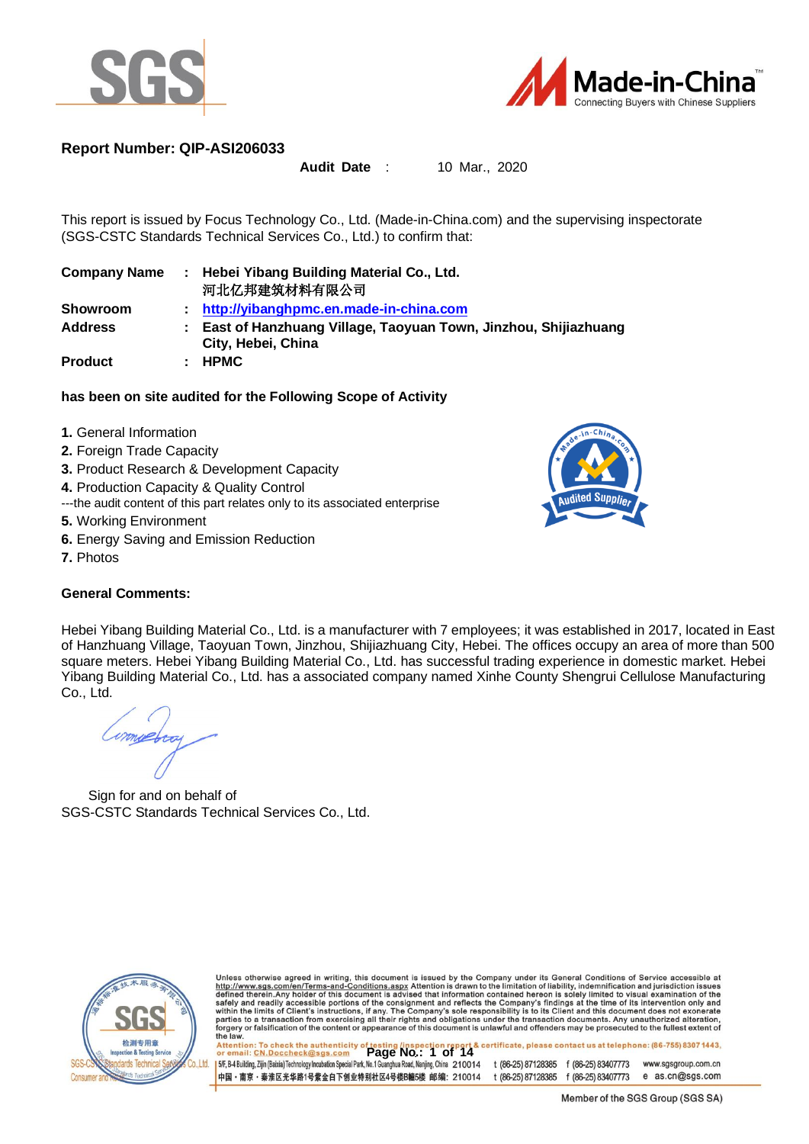



### **Report Number: QIP-ASI206033**

#### **Audit Date** : 10 Mar., 2020

This report is issued by Focus Technology Co., Ltd. (Made-in-China.com) and the supervising inspectorate (SGS-CSTC Standards Technical Services Co., Ltd.) to confirm that:

| <b>Company Name</b> | ÷. | Hebei Yibang Building Material Co., Ltd.<br>河北亿邦建筑材料有限公司                             |
|---------------------|----|--------------------------------------------------------------------------------------|
| <b>Showroom</b>     |    | http://yibanghpmc.en.made-in-china.com                                               |
| <b>Address</b>      | ÷  | East of Hanzhuang Village, Taoyuan Town, Jinzhou, Shijiazhuang<br>City, Hebei, China |
| <b>Product</b>      | ÷. | <b>HPMC</b>                                                                          |

#### **has been on site audited for the Following Scope of Activity**

- **1.** General Information
- 2. Foreign Trade Capacity
- **3.** Product Research & Development Capacity
- **4.** Production Capacity & Quality Control
- ---the audit content of this part relates only to its associated enterprise
- **5.** Working Environment
- **6.** Energy Saving and Emission Reduction
- **7.** Photos

#### **General Comments:**



Hebei Yibang Building Material Co., Ltd. is a manufacturer with 7 employees; it was established in 2017, located in East of Hanzhuang Village, Taoyuan Town, Jinzhou, Shijiazhuang City, Hebei. The offices occupy an area of more than 500 square meters. Hebei Yibang Building Material Co., Ltd. has successful trading experience in domestic market. Hebei Yibang Building Material Co., Ltd. has a associated company named Xinhe County Shengrui Cellulose Manufacturing Co., Ltd.

moebery

Sign for and on behalf of SGS-CSTC Standards Technical Services Co., Ltd.



Unless otherwise agreed in writing, this document is issued by the Company under its General Conditions of Service accessible at http://www.sgs.com/en/Terms-and-Conditions.aspx Attention is drawn to the limitation of liabi

t (86-25) 87128385 f (86-25) 83407773 www.sgsgroup.com.cn 中国・南京・秦淮区光华路1号紫金白下创业特别社区4号楼B幢5楼 邮编: 210014 e as.cn@sgs.com t (86-25) 87128385 f (86-25) 83407773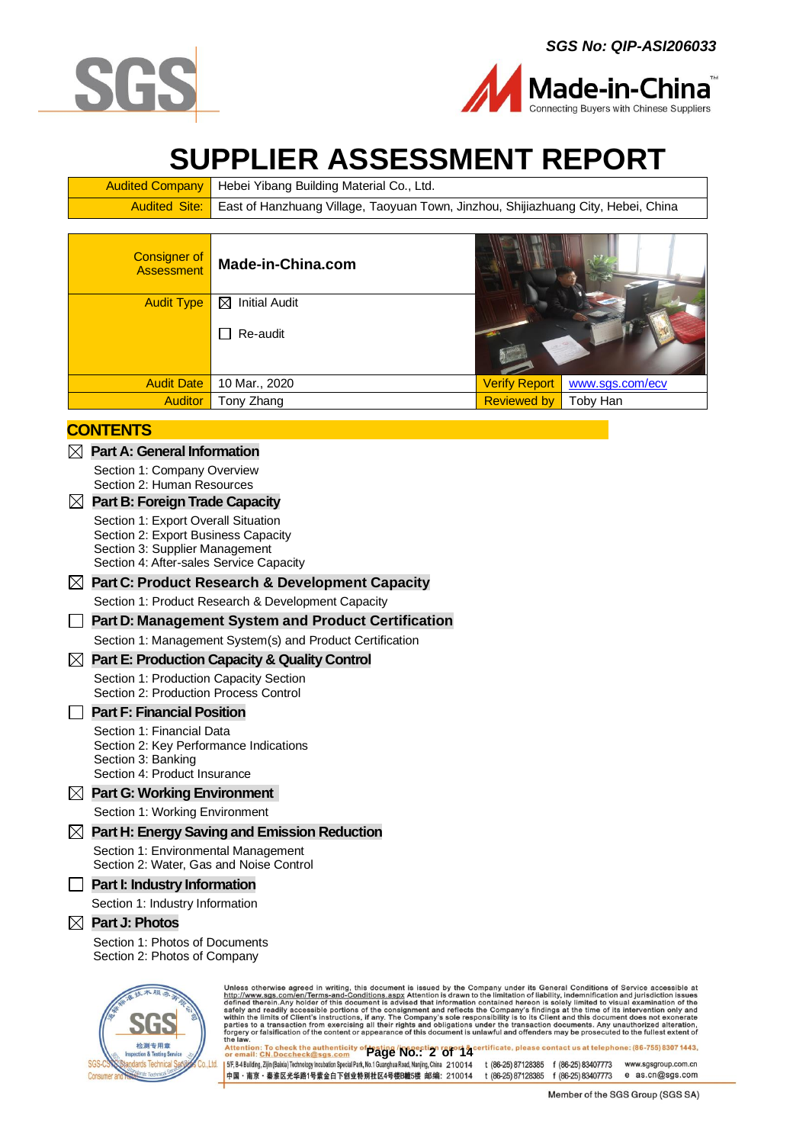



# **SUPPLIER ASSESSMENT REPORT**

| <b>Audited Company</b>   Hebei Yibang Building Material Co., Ltd.                                 |
|---------------------------------------------------------------------------------------------------|
| Audited Site:   East of Hanzhuang Village, Taoyuan Town, Jinzhou, Shijiazhuang City, Hebei, China |
|                                                                                                   |

| <b>Consigner of</b><br><b>Assessment</b> | Made-in-China.com         |                      |                 |
|------------------------------------------|---------------------------|----------------------|-----------------|
| <b>Audit Type</b>                        | ⊠<br><b>Initial Audit</b> |                      |                 |
|                                          | Re-audit<br>$\sim$        |                      |                 |
| <b>Audit Date</b>                        | 10 Mar., 2020             | <b>Verify Report</b> | www.sgs.com/ecv |
| <b>Auditor</b>                           | Tony Zhang                | <b>Reviewed by</b>   | Toby Han        |

### **CONTENTS**

- **Part A: [General Information](#page-2-0)**
	- [Section 1: Company Overview](#page-2-1) Section [2: Human Resources](#page-3-0)

#### **[Part B: Foreign Trade Capacity](#page-4-0)**

[Section 1: Export Overall](#page-4-1) Situation Section [2: Export Business Capacity](#page-4-2)  [Section 3: Supplier Management](#page-5-0)  [Section 4: After-sales Service Capacity](#page-5-1)

#### **[Part C: Product Research & Development Capacity](#page-6-0)**

[Section 1: Product Research & Development Capacity](#page-6-0)

### **Part D: Management System and Product Certification**

#### Section 1: Management System(s) and Product Certification

#### **[Part E: Production Capacity](#page-7-0) & Quality Control**

[Section 1: Production Capacity](#page-7-1) Section [Section 2: Production Process Control](#page-9-0)

#### **Part F: Financial Position**

- Section 1: Financial Data Section 2: Key Performance Indications Section 3: Banking
- Section 4: Product Insurance

#### **[Part G: Working Environment](#page-10-0)**

[Section 1: Working Environment](#page-10-1)

#### **[Part H: Energy Saving and Emission Reduction](#page-11-0)**

[Section 1: Environmental Management](#page-11-1) [Section 2: Water, Gas and Noise Control](#page-11-2)

#### **Part I: Industry Information**

Section 1: Industry Information

#### **[Part J: Photos](#page-12-0)**

Section 1: [Photos of Documents](#page-12-1) [Section 2: Photos of Company](#page-13-0)



Unless otherwise agreed in writing, this document is issued by the Company under its General Conditions of Service accessible at  $http://www.sgs.com/en/Terms-and-Condition.sagspx$  Attention is drawn to the limitation of liability, indemnification and ju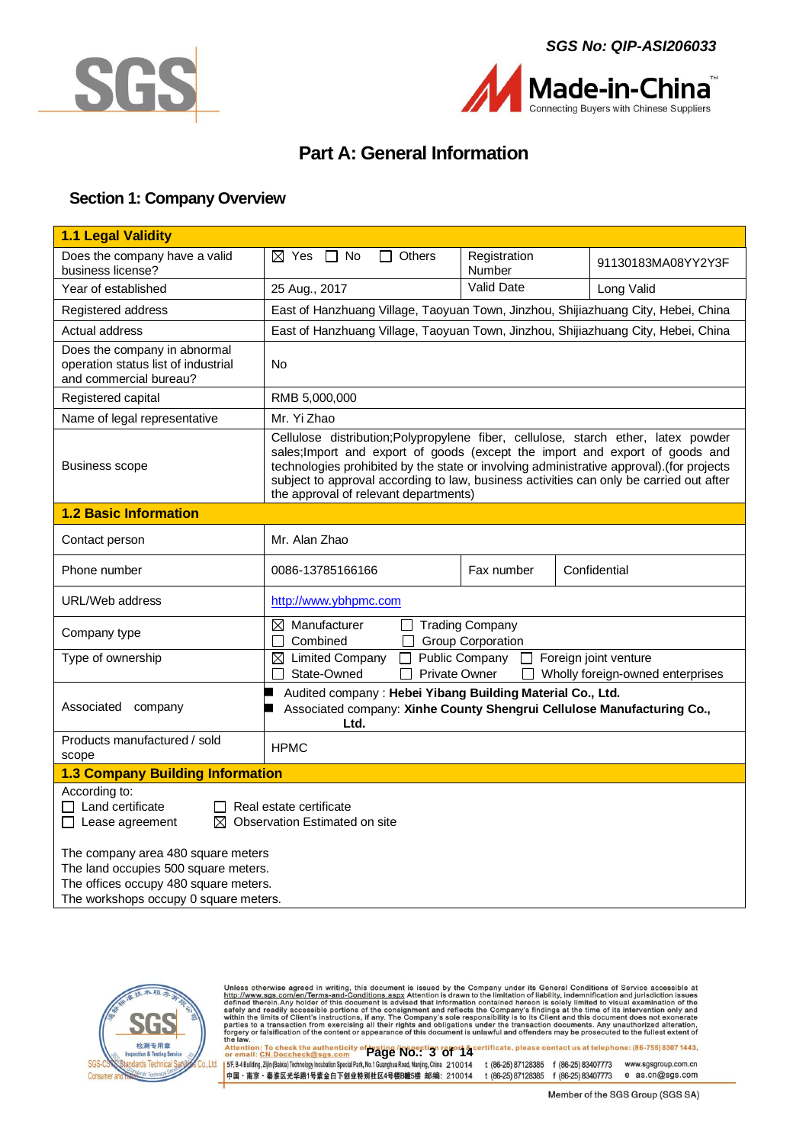



Made-in-China ting Buyers with Chinese Suppliers

# **Part A: General Information**

### <span id="page-2-1"></span><span id="page-2-0"></span>**Section 1: Company Overview**

| 1.1 Legal Validity                                                                                                                                            |                                                                                                                                                                                                                                                                                                                                                                                                    |                          |                                                           |  |  |  |
|---------------------------------------------------------------------------------------------------------------------------------------------------------------|----------------------------------------------------------------------------------------------------------------------------------------------------------------------------------------------------------------------------------------------------------------------------------------------------------------------------------------------------------------------------------------------------|--------------------------|-----------------------------------------------------------|--|--|--|
| Does the company have a valid<br>business license?                                                                                                            | $\boxtimes$ Yes $\Box$ No<br>Others<br>╹┚                                                                                                                                                                                                                                                                                                                                                          | Registration<br>Number   | 91130183MA08YY2Y3F                                        |  |  |  |
| Year of established                                                                                                                                           | 25 Aug., 2017                                                                                                                                                                                                                                                                                                                                                                                      | Valid Date               | Long Valid                                                |  |  |  |
| Registered address                                                                                                                                            | East of Hanzhuang Village, Taoyuan Town, Jinzhou, Shijiazhuang City, Hebei, China                                                                                                                                                                                                                                                                                                                  |                          |                                                           |  |  |  |
| Actual address                                                                                                                                                | East of Hanzhuang Village, Taoyuan Town, Jinzhou, Shijiazhuang City, Hebei, China                                                                                                                                                                                                                                                                                                                  |                          |                                                           |  |  |  |
| Does the company in abnormal<br>operation status list of industrial<br>and commercial bureau?                                                                 | No                                                                                                                                                                                                                                                                                                                                                                                                 |                          |                                                           |  |  |  |
| Registered capital                                                                                                                                            | RMB 5,000,000                                                                                                                                                                                                                                                                                                                                                                                      |                          |                                                           |  |  |  |
| Name of legal representative                                                                                                                                  | Mr. Yi Zhao                                                                                                                                                                                                                                                                                                                                                                                        |                          |                                                           |  |  |  |
| <b>Business scope</b>                                                                                                                                         | Cellulose distribution; Polypropylene fiber, cellulose, starch ether, latex powder<br>sales; Import and export of goods (except the import and export of goods and<br>technologies prohibited by the state or involving administrative approval).(for projects<br>subject to approval according to law, business activities can only be carried out after<br>the approval of relevant departments) |                          |                                                           |  |  |  |
| <b>1.2 Basic Information</b>                                                                                                                                  |                                                                                                                                                                                                                                                                                                                                                                                                    |                          |                                                           |  |  |  |
| Contact person                                                                                                                                                | Mr. Alan Zhao                                                                                                                                                                                                                                                                                                                                                                                      |                          |                                                           |  |  |  |
| Phone number                                                                                                                                                  | 0086-13785166166                                                                                                                                                                                                                                                                                                                                                                                   | Fax number               | Confidential                                              |  |  |  |
| URL/Web address                                                                                                                                               | http://www.ybhpmc.com                                                                                                                                                                                                                                                                                                                                                                              |                          |                                                           |  |  |  |
| Company type                                                                                                                                                  | $\boxtimes$ Manufacturer<br>Trading Company<br>Combined                                                                                                                                                                                                                                                                                                                                            | <b>Group Corporation</b> |                                                           |  |  |  |
| Type of ownership                                                                                                                                             | $\boxtimes$ Limited Company<br><b>Private Owner</b><br>State-Owned                                                                                                                                                                                                                                                                                                                                 | Public Company<br>$\Box$ | Foreign joint venture<br>Wholly foreign-owned enterprises |  |  |  |
| Associated<br>company                                                                                                                                         | Audited company: Hebei Yibang Building Material Co., Ltd.<br>Associated company: Xinhe County Shengrui Cellulose Manufacturing Co.,<br>Ltd.                                                                                                                                                                                                                                                        |                          |                                                           |  |  |  |
| Products manufactured / sold<br>scope                                                                                                                         | <b>HPMC</b>                                                                                                                                                                                                                                                                                                                                                                                        |                          |                                                           |  |  |  |
| <b>1.3 Company Building Information</b>                                                                                                                       |                                                                                                                                                                                                                                                                                                                                                                                                    |                          |                                                           |  |  |  |
| According to:<br>$\Box$ Land certificate<br>Real estate certificate<br>$\boxtimes$ Observation Estimated on site<br>$\Box$ Lease agreement                    |                                                                                                                                                                                                                                                                                                                                                                                                    |                          |                                                           |  |  |  |
| The company area 480 square meters<br>The land occupies 500 square meters.<br>The offices occupy 480 square meters.<br>The werkehene assumy $0$ causes maters |                                                                                                                                                                                                                                                                                                                                                                                                    |                          |                                                           |  |  |  |





Unless otherwise agreed in writing, this document is issued by the Company under its General Conditions of Service accessible at http://www.sgs.com/en/Terms-and-Conditions.aspx Attention is drawn to the limitation of liabi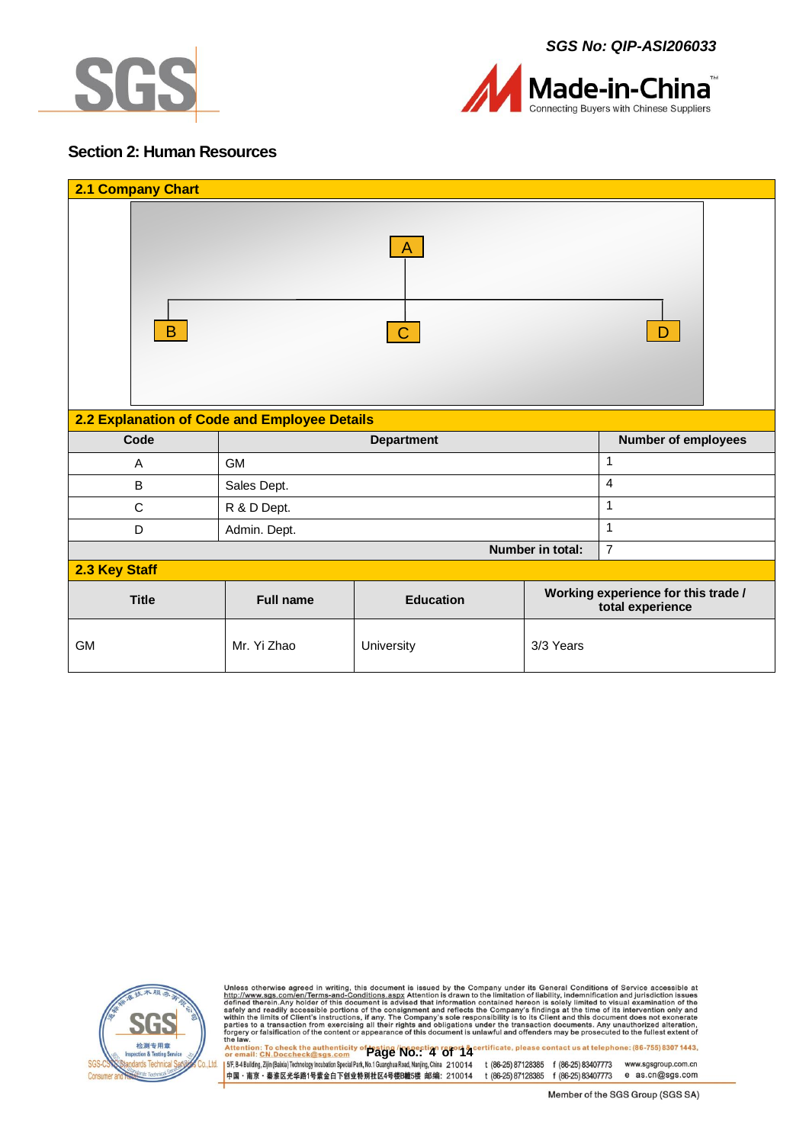



### <span id="page-3-0"></span>**Section 2: Human Resources**

| 2.1 Company Chart                            |                                                                                                 |                   |                  |                            |  |  |  |
|----------------------------------------------|-------------------------------------------------------------------------------------------------|-------------------|------------------|----------------------------|--|--|--|
| A<br>B<br>D                                  |                                                                                                 |                   |                  |                            |  |  |  |
| 2.2 Explanation of Code and Employee Details |                                                                                                 |                   |                  |                            |  |  |  |
| Code                                         |                                                                                                 | <b>Department</b> |                  | <b>Number of employees</b> |  |  |  |
| A                                            | 1<br><b>GM</b>                                                                                  |                   |                  |                            |  |  |  |
| B                                            | $\overline{4}$<br>Sales Dept.                                                                   |                   |                  |                            |  |  |  |
| $\mathsf{C}$                                 | $\mathbf{1}$<br>R & D Dept.                                                                     |                   |                  |                            |  |  |  |
| D                                            | Admin. Dept.                                                                                    |                   |                  | $\mathbf{1}$               |  |  |  |
|                                              |                                                                                                 |                   | Number in total: | $\overline{7}$             |  |  |  |
| 2.3 Key Staff                                |                                                                                                 |                   |                  |                            |  |  |  |
| <b>Title</b>                                 | Working experience for this trade /<br><b>Education</b><br><b>Full name</b><br>total experience |                   |                  |                            |  |  |  |
| <b>GM</b>                                    | Mr. Yi Zhao                                                                                     | University        | 3/3 Years        |                            |  |  |  |



Unless otherwise agreed in writing, this document is issued by the Company under its General Conditions of Service accessible at http://www.sgs.com/en/Terms-and-Conditions.aspx Attention is drawn to the limitation of liabi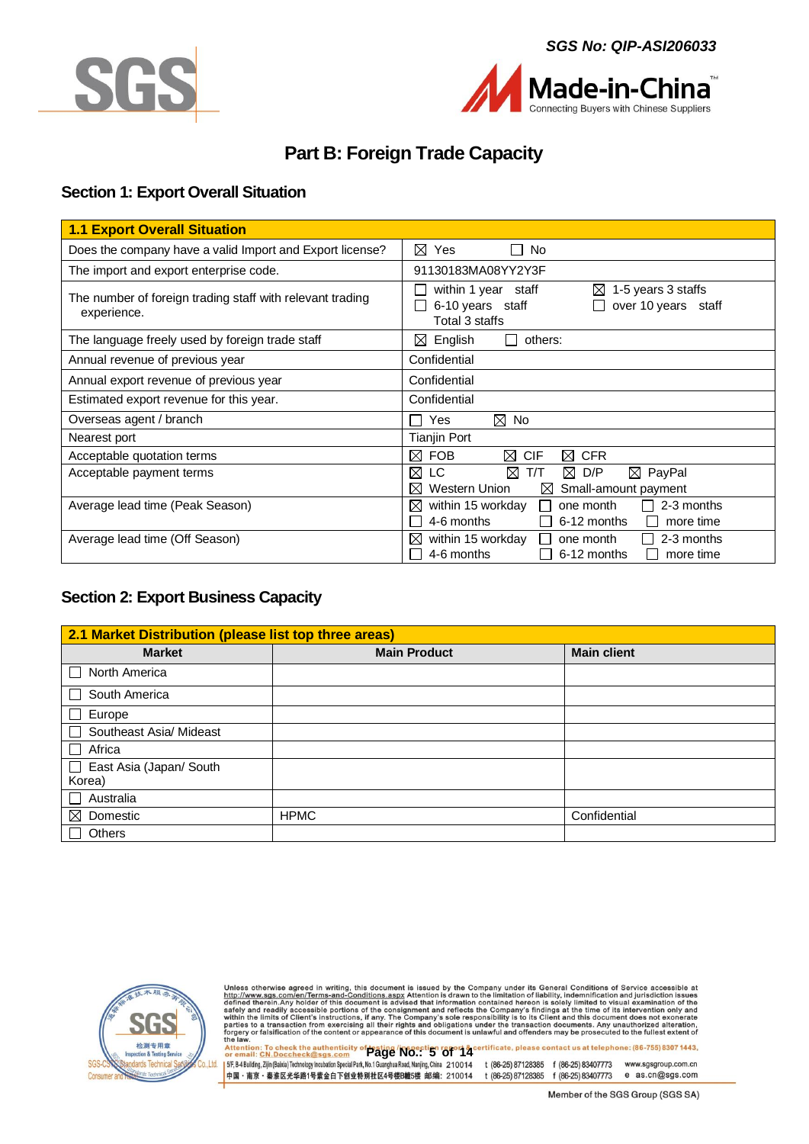





# **Part B: Foreign Trade Capacity**

### <span id="page-4-1"></span><span id="page-4-0"></span>**Section 1: Export Overall Situation**

| <b>1.1 Export Overall Situation</b>                                      |                                                                                                                          |
|--------------------------------------------------------------------------|--------------------------------------------------------------------------------------------------------------------------|
| Does the company have a valid Import and Export license?                 | ⊠<br>Yes<br>No                                                                                                           |
| The import and export enterprise code.                                   | 91130183MA08YY2Y3F                                                                                                       |
| The number of foreign trading staff with relevant trading<br>experience. | $\boxtimes$ 1-5 years 3 staffs<br>within 1 year staff<br>6-10 years staff<br>over 10 years staff<br>Total 3 staffs       |
| The language freely used by foreign trade staff                          | English<br>others:<br>$\bowtie$                                                                                          |
| Annual revenue of previous year                                          | Confidential                                                                                                             |
| Annual export revenue of previous year                                   | Confidential                                                                                                             |
| Estimated export revenue for this year.                                  | Confidential                                                                                                             |
| Overseas agent / branch                                                  | $\boxtimes$ No<br>Yes                                                                                                    |
| Nearest port                                                             | <b>Tianjin Port</b>                                                                                                      |
| Acceptable quotation terms                                               | ⊠<br>⊠<br><b>CIF</b><br>⊠<br><b>CFR</b><br><b>FOB</b>                                                                    |
| Acceptable payment terms                                                 | ⊠<br>T/T<br>$\boxtimes$ D/P<br>⊠<br>LC.<br>$\boxtimes$ PayPal<br>⊠<br>Western Union<br>Small-amount payment<br>$\bowtie$ |
| Average lead time (Peak Season)                                          | 2-3 months<br>$\bowtie$<br>within 15 workday<br>one month<br>$\mathsf{L}$<br>4-6 months<br>6-12 months<br>more time      |
| Average lead time (Off Season)                                           | 2-3 months<br>within 15 workday<br>⊠<br>one month<br>$\mathbf{I}$<br>4-6 months<br>6-12 months<br>more time              |

### <span id="page-4-2"></span>**Section 2: Export Business Capacity**

| 2.1 Market Distribution (please list top three areas) |                     |                    |  |  |  |  |
|-------------------------------------------------------|---------------------|--------------------|--|--|--|--|
| <b>Market</b>                                         | <b>Main Product</b> | <b>Main client</b> |  |  |  |  |
| North America<br>$\perp$                              |                     |                    |  |  |  |  |
| South America<br>П                                    |                     |                    |  |  |  |  |
| Europe<br>$\Box$                                      |                     |                    |  |  |  |  |
| Southeast Asia/ Mideast<br>П                          |                     |                    |  |  |  |  |
| Africa<br>$\Box$                                      |                     |                    |  |  |  |  |
| East Asia (Japan/ South<br>П                          |                     |                    |  |  |  |  |
| Korea)                                                |                     |                    |  |  |  |  |
| $\Box$ Australia                                      |                     |                    |  |  |  |  |
| $\boxtimes$ Domestic                                  | <b>HPMC</b>         | Confidential       |  |  |  |  |
| <b>Others</b>                                         |                     |                    |  |  |  |  |



Unless otherwise agreed in writing, this document is issued by the Company under its General Conditions of Service accessible at http://www.sgs.com/en/Terms-and-Conditions.aspx Attention is drawn to the limitation of liabi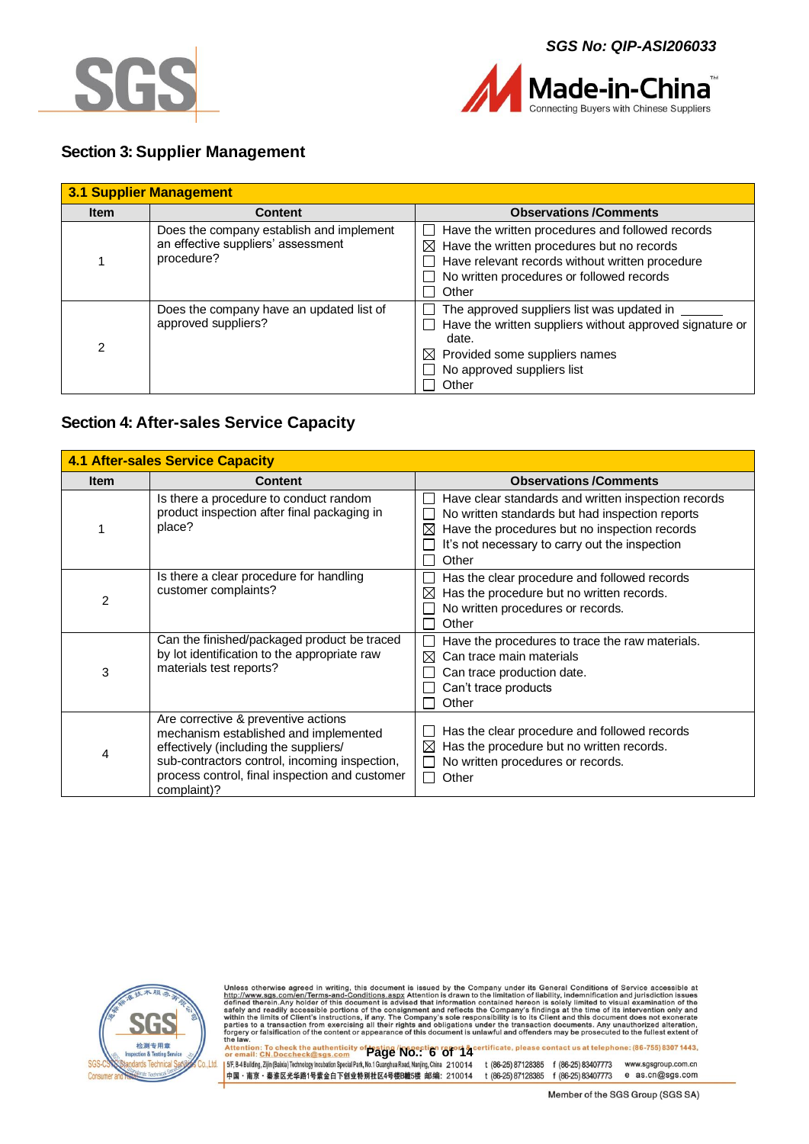



### <span id="page-5-0"></span>**Section 3: Supplier Management**

|             | <b>3.1 Supplier Management</b>                                                               |                                                                                                                                                                                                                     |
|-------------|----------------------------------------------------------------------------------------------|---------------------------------------------------------------------------------------------------------------------------------------------------------------------------------------------------------------------|
| <b>Item</b> | <b>Content</b>                                                                               | <b>Observations /Comments</b>                                                                                                                                                                                       |
|             | Does the company establish and implement<br>an effective suppliers' assessment<br>procedure? | Have the written procedures and followed records<br>$\boxtimes$ Have the written procedures but no records<br>Have relevant records without written procedure<br>No written procedures or followed records<br>Other |
| 2           | Does the company have an updated list of<br>approved suppliers?                              | The approved suppliers list was updated in<br>Have the written suppliers without approved signature or<br>date.<br>$\boxtimes$ Provided some suppliers names<br>No approved suppliers list<br>Other                 |

### <span id="page-5-1"></span>**Section 4: After-sales Service Capacity**

|             | <b>4.1 After-sales Service Capacity</b>                                                                                                                                                                                                 |                                                                                                                                                                                                                         |  |  |  |  |  |  |  |
|-------------|-----------------------------------------------------------------------------------------------------------------------------------------------------------------------------------------------------------------------------------------|-------------------------------------------------------------------------------------------------------------------------------------------------------------------------------------------------------------------------|--|--|--|--|--|--|--|
| <b>Item</b> | <b>Content</b>                                                                                                                                                                                                                          | <b>Observations /Comments</b>                                                                                                                                                                                           |  |  |  |  |  |  |  |
|             | Is there a procedure to conduct random<br>product inspection after final packaging in<br>place?                                                                                                                                         | Have clear standards and written inspection records<br>No written standards but had inspection reports<br>Have the procedures but no inspection records<br>⊠<br>It's not necessary to carry out the inspection<br>Other |  |  |  |  |  |  |  |
| 2           | Is there a clear procedure for handling<br>customer complaints?                                                                                                                                                                         | Has the clear procedure and followed records<br>Has the procedure but no written records.<br>⊠<br>No written procedures or records.<br>Other                                                                            |  |  |  |  |  |  |  |
| 3           | Can the finished/packaged product be traced<br>by lot identification to the appropriate raw<br>materials test reports?                                                                                                                  | Have the procedures to trace the raw materials.<br>Can trace main materials<br>⊠<br>Can trace production date.<br>Can't trace products<br>Other                                                                         |  |  |  |  |  |  |  |
| 4           | Are corrective & preventive actions<br>mechanism established and implemented<br>effectively (including the suppliers/<br>sub-contractors control, incoming inspection,<br>process control, final inspection and customer<br>complaint)? | Has the clear procedure and followed records<br>Has the procedure but no written records.<br>⋈<br>No written procedures or records.<br>Other                                                                            |  |  |  |  |  |  |  |



Unless otherwise agreed in writing, this document is issued by the Company under its General Conditions of Service accessible at http://www.sgs.com/en/Terms-and-Conditions.aspx Attention is drawn to the limitation of liabi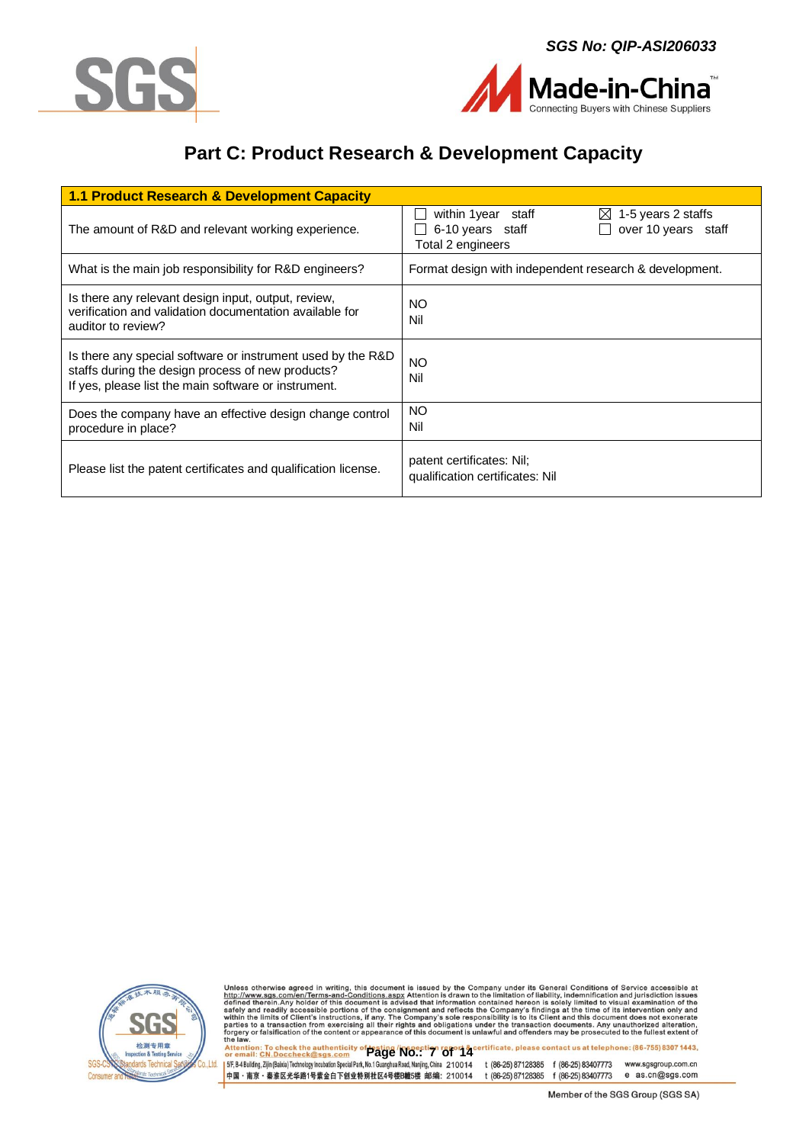



Made-in-China nnecting Buyers with Chinese Suppliers

# **Part C: Product Research & Development Capacity**

<span id="page-6-0"></span>

| 1.1 Product Research & Development Capacity                                                                                                                              |                                                                                                                       |
|--------------------------------------------------------------------------------------------------------------------------------------------------------------------------|-----------------------------------------------------------------------------------------------------------------------|
| The amount of R&D and relevant working experience.                                                                                                                       | within 1 year staff<br>$\boxtimes$ 1-5 years 2 staffs<br>6-10 years staff<br>over 10 years staff<br>Total 2 engineers |
| What is the main job responsibility for R&D engineers?                                                                                                                   | Format design with independent research & development.                                                                |
| Is there any relevant design input, output, review,<br>verification and validation documentation available for<br>auditor to review?                                     | <b>NO</b><br>Nil                                                                                                      |
| Is there any special software or instrument used by the R&D<br>staffs during the design process of new products?<br>If yes, please list the main software or instrument. | <b>NO</b><br>Nil                                                                                                      |
| Does the company have an effective design change control<br>procedure in place?                                                                                          | <b>NO</b><br>Nil                                                                                                      |
| Please list the patent certificates and qualification license.                                                                                                           | patent certificates: Nil;<br>qualification certificates: Nil                                                          |



Unless otherwise agreed in writing, this document is issued by the Company under its General Conditions of Service accessible at http://www.sgs.com/en/Terms-and-Conditions.aspx Attention is drawn to the limitation of liabi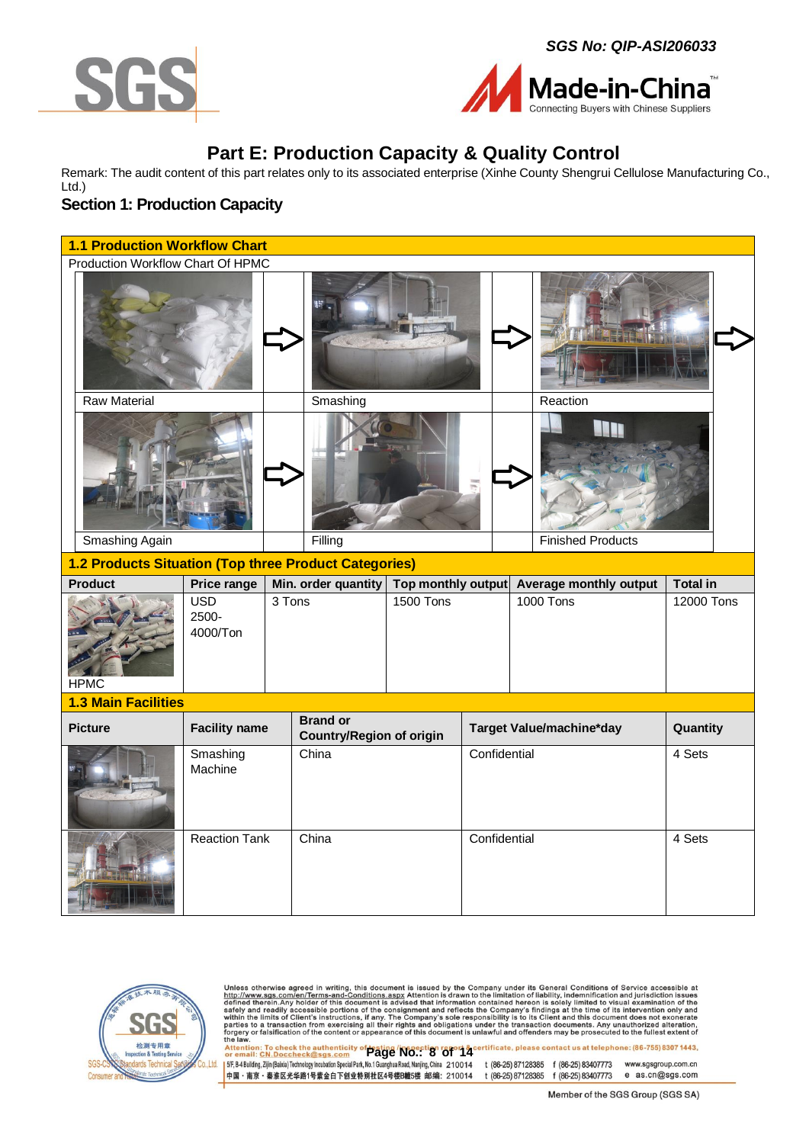





# **Part E: Production Capacity & Quality Control**

<span id="page-7-0"></span>Remark: The audit content of this part relates only to its associated enterprise (Xinhe County Shengrui Cellulose Manufacturing Co., Ltd.)

### <span id="page-7-1"></span>**Section 1: Production Capacity**

|                                                       | <b>1.1 Production Workflow Chart</b> |                                                    |                                           |           |              |                               |                          |            |
|-------------------------------------------------------|--------------------------------------|----------------------------------------------------|-------------------------------------------|-----------|--------------|-------------------------------|--------------------------|------------|
| Production Workflow Chart Of HPMC                     |                                      |                                                    |                                           |           |              |                               |                          |            |
|                                                       |                                      |                                                    |                                           |           |              |                               |                          |            |
| <b>Raw Material</b>                                   |                                      | Smashing                                           |                                           |           |              |                               | Reaction                 |            |
| Smashing Again                                        |                                      | Filling                                            |                                           |           |              |                               | <b>Finished Products</b> |            |
|                                                       |                                      |                                                    |                                           |           |              |                               |                          |            |
| 1.2 Products Situation (Top three Product Categories) |                                      |                                                    |                                           |           |              |                               |                          |            |
| <b>Product</b>                                        | Price range                          |                                                    | Min. order quantity<br>Top monthly output |           |              | <b>Average monthly output</b> | <b>Total in</b>          |            |
| <b>HPMC</b>                                           | <b>USD</b><br>2500-<br>4000/Ton      | 3 Tons                                             |                                           | 1500 Tons |              |                               | 1000 Tons                | 12000 Tons |
| <b>1.3 Main Facilities</b>                            |                                      |                                                    |                                           |           |              |                               |                          |            |
| <b>Picture</b>                                        | <b>Facility name</b>                 | <b>Brand or</b><br><b>Country/Region of origin</b> |                                           |           |              |                               | Target Value/machine*day | Quantity   |
|                                                       | Smashing<br>Machine                  |                                                    | China                                     |           | Confidential |                               |                          | 4 Sets     |
|                                                       | <b>Reaction Tank</b>                 | China                                              |                                           |           | Confidential |                               |                          | 4 Sets     |



Unless otherwise agreed in writing, this document is issued by the Company under its General Conditions of Service accessible at http://www.sgs.com/en/Terms-and-Conditions.aspx Attention is drawn to the limitation of liabi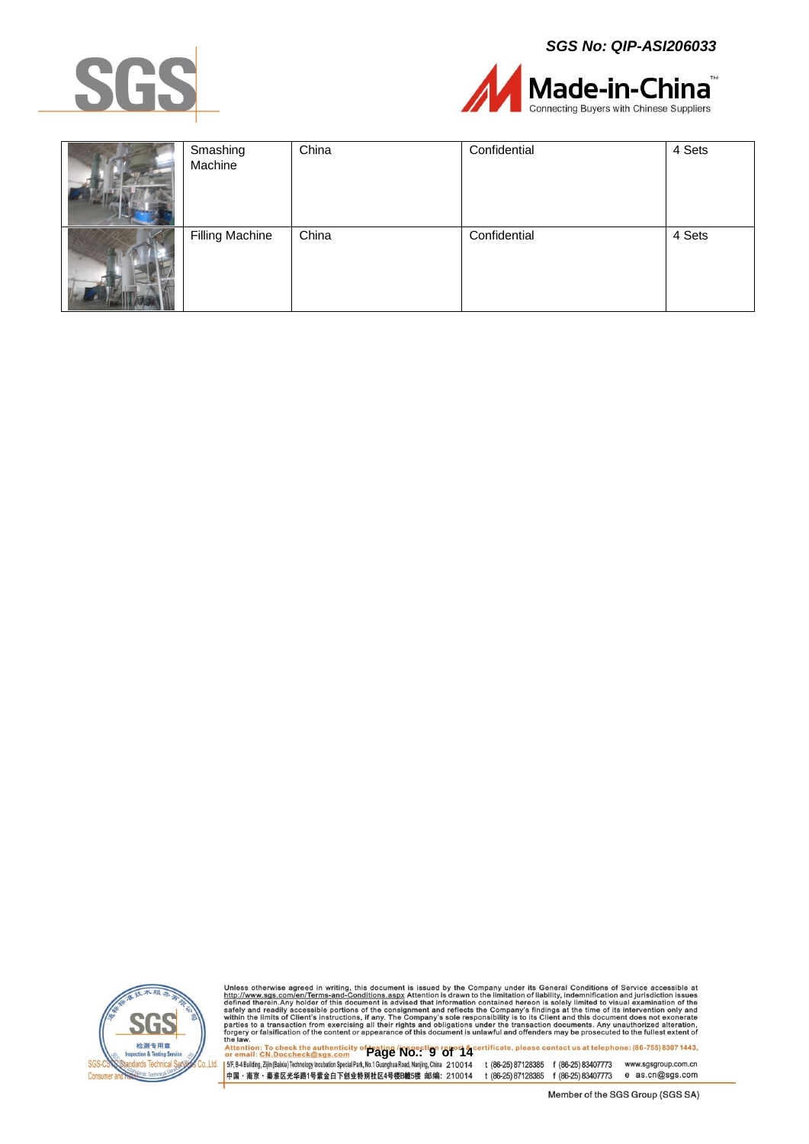*SGS No: QIP-ASI206033*





| Smashing<br>Machine    | China | Confidential | 4 Sets |
|------------------------|-------|--------------|--------|
| <b>Filling Machine</b> | China | Confidential | 4 Sets |



Unless otherwise agreed in writing, this document is issued by the Company under its General Conditions of Service accessible at http://www.sgs.com/en/Terms-and-Conditions.aspx Attention is drawn to the limitation of liabi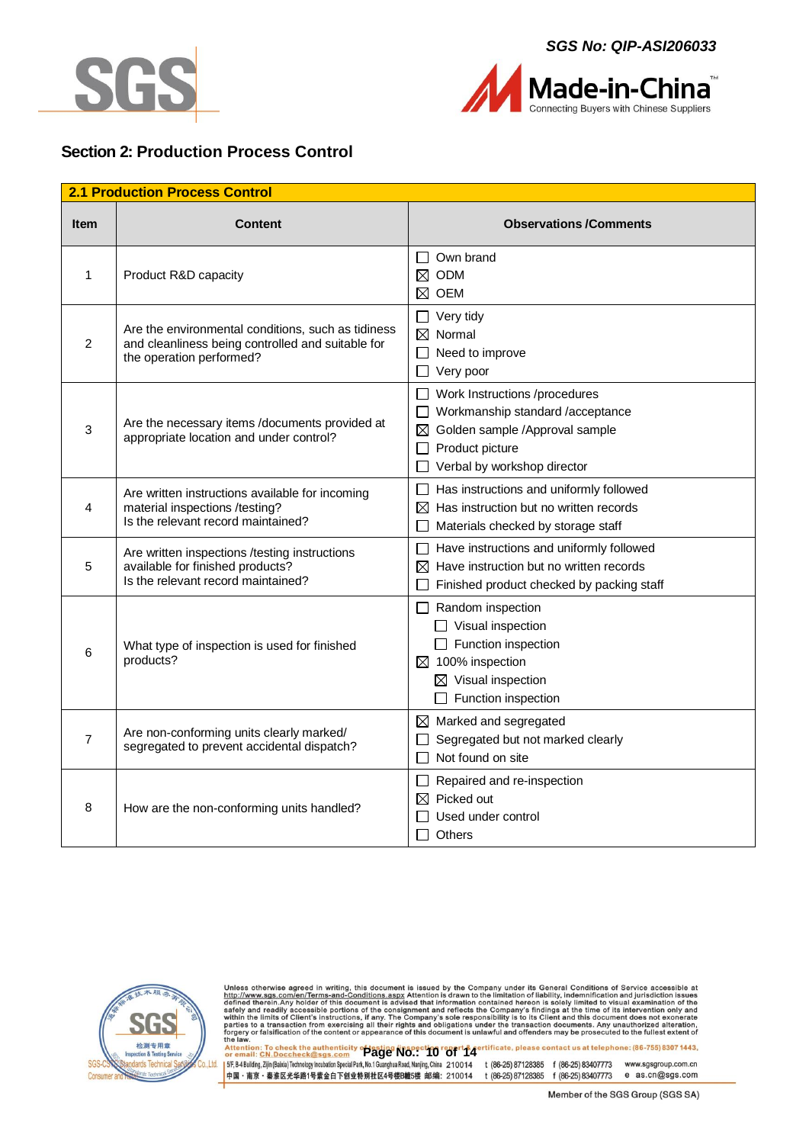



### <span id="page-9-0"></span>**Section 2: Production Process Control**

| <b>2.1 Production Process Control</b> |                                                                                                                                     |                                                                                                                                                                                           |  |  |
|---------------------------------------|-------------------------------------------------------------------------------------------------------------------------------------|-------------------------------------------------------------------------------------------------------------------------------------------------------------------------------------------|--|--|
| <b>Item</b>                           | Content                                                                                                                             | <b>Observations /Comments</b>                                                                                                                                                             |  |  |
| 1                                     | Product R&D capacity                                                                                                                | Own brand<br>$\Box$<br>$\boxtimes$ ODM<br>$\boxtimes$ oem                                                                                                                                 |  |  |
| 2                                     | Are the environmental conditions, such as tidiness<br>and cleanliness being controlled and suitable for<br>the operation performed? | $\Box$ Very tidy<br>$\boxtimes$ Normal<br>Need to improve<br>$\Box$ Very poor                                                                                                             |  |  |
| 3                                     | Are the necessary items /documents provided at<br>appropriate location and under control?                                           | Work Instructions /procedures<br>$\Box$<br>$\Box$ Workmanship standard /acceptance<br>$\boxtimes$ Golden sample /Approval sample<br>$\Box$ Product picture<br>Verbal by workshop director |  |  |
| 4                                     | Are written instructions available for incoming<br>material inspections /testing?<br>Is the relevant record maintained?             | Has instructions and uniformly followed<br>Ш<br>$\boxtimes$ Has instruction but no written records<br>Materials checked by storage staff                                                  |  |  |
| 5                                     | Are written inspections /testing instructions<br>available for finished products?<br>Is the relevant record maintained?             | $\Box$ Have instructions and uniformly followed<br>$\boxtimes$ Have instruction but no written records<br>Finished product checked by packing staff                                       |  |  |
| 6                                     | What type of inspection is used for finished<br>products?                                                                           | $\Box$ Random inspection<br>$\Box$ Visual inspection<br>$\Box$ Function inspection<br>$\boxtimes$ 100% inspection<br>$\boxtimes$ Visual inspection<br>Function inspection                 |  |  |
| 7                                     | Are non-conforming units clearly marked/<br>segregated to prevent accidental dispatch?                                              | $\boxtimes$ Marked and segregated<br>Segregated but not marked clearly<br>Not found on site                                                                                               |  |  |
| 8                                     | How are the non-conforming units handled?                                                                                           | Repaired and re-inspection<br>ப<br>$\boxtimes$ Picked out<br>Used under control<br><b>Others</b>                                                                                          |  |  |



Unless otherwise agreed in writing, this document is issued by the Company under its General Conditions of Service accessible at http://www.sgs.com/en/Terms-and-Conditions.aspx Attention is drawn to the limitation of liabi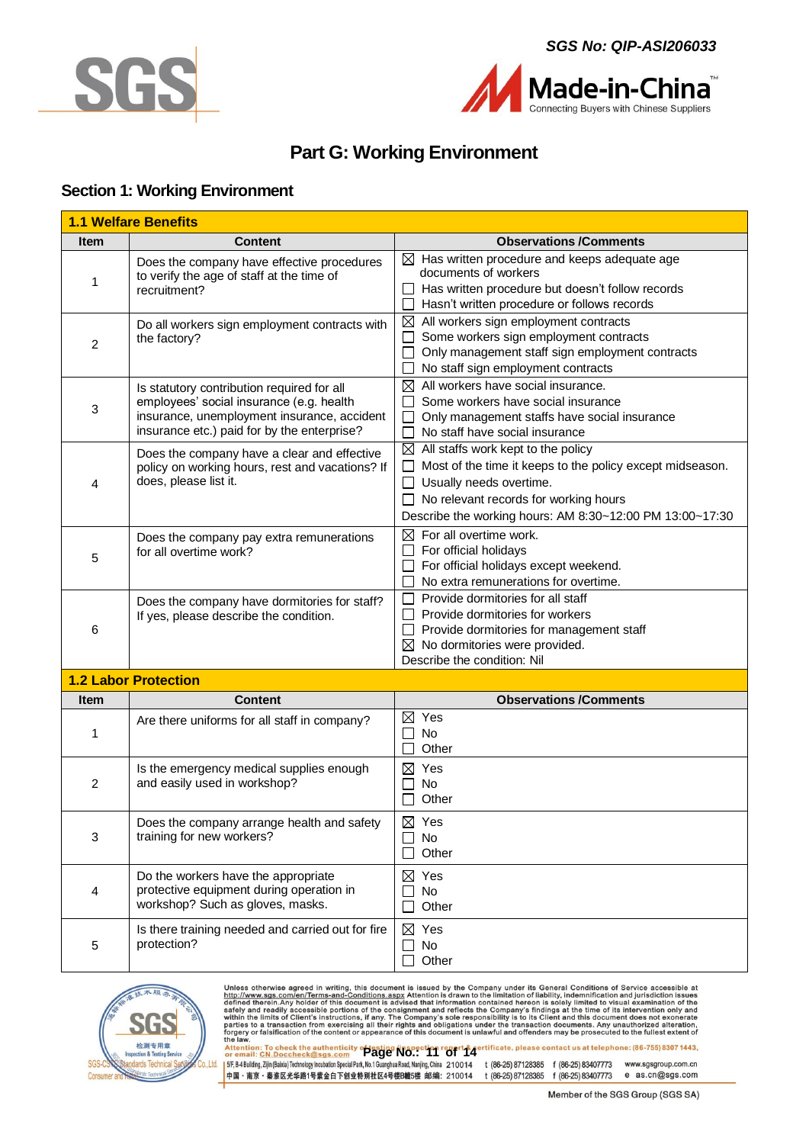



# **Part G: Working Environment**

### <span id="page-10-1"></span><span id="page-10-0"></span>**Section 1: Working Environment**

| <b>1.1 Welfare Benefits</b> |                                                                                                                                                                                      |                                                                                                                                                                                                                                                                     |  |  |
|-----------------------------|--------------------------------------------------------------------------------------------------------------------------------------------------------------------------------------|---------------------------------------------------------------------------------------------------------------------------------------------------------------------------------------------------------------------------------------------------------------------|--|--|
| <b>Item</b>                 | <b>Content</b>                                                                                                                                                                       | <b>Observations /Comments</b>                                                                                                                                                                                                                                       |  |  |
| 1                           | Does the company have effective procedures<br>to verify the age of staff at the time of<br>recruitment?                                                                              | $\boxtimes$ Has written procedure and keeps adequate age<br>documents of workers<br>Has written procedure but doesn't follow records<br>Hasn't written procedure or follows records                                                                                 |  |  |
| 2                           | Do all workers sign employment contracts with<br>the factory?                                                                                                                        | $\boxtimes$ All workers sign employment contracts<br>Some workers sign employment contracts<br>Only management staff sign employment contracts<br>No staff sign employment contracts                                                                                |  |  |
| 3                           | Is statutory contribution required for all<br>employees' social insurance (e.g. health<br>insurance, unemployment insurance, accident<br>insurance etc.) paid for by the enterprise? | $\boxtimes$ All workers have social insurance.<br>Some workers have social insurance<br>Only management staffs have social insurance<br>No staff have social insurance                                                                                              |  |  |
| 4                           | Does the company have a clear and effective<br>policy on working hours, rest and vacations? If<br>does, please list it.                                                              | $\boxtimes$ All staffs work kept to the policy<br>Most of the time it keeps to the policy except midseason.<br>$\Box$<br>$\Box$ Usually needs overtime.<br>$\Box$ No relevant records for working hours<br>Describe the working hours: AM 8:30~12:00 PM 13:00~17:30 |  |  |
| 5                           | Does the company pay extra remunerations<br>for all overtime work?                                                                                                                   | $\boxtimes$ For all overtime work.<br>For official holidays<br>For official holidays except weekend.<br>No extra remunerations for overtime.                                                                                                                        |  |  |
| 6                           | Does the company have dormitories for staff?<br>If yes, please describe the condition.                                                                                               | Provide dormitories for all staff<br>П<br>Provide dormitories for workers<br>Provide dormitories for management staff<br>$\boxtimes$ No dormitories were provided.<br>Describe the condition: Nil                                                                   |  |  |
|                             | <b>1.2 Labor Protection</b>                                                                                                                                                          |                                                                                                                                                                                                                                                                     |  |  |
| <b>Item</b>                 | <b>Content</b>                                                                                                                                                                       | <b>Observations/Comments</b>                                                                                                                                                                                                                                        |  |  |
| 1                           | Are there uniforms for all staff in company?                                                                                                                                         | $\boxtimes$ Yes<br>No<br>Other                                                                                                                                                                                                                                      |  |  |
| $\overline{2}$              | Is the emergency medical supplies enough<br>and easily used in workshop?                                                                                                             | $\boxtimes$ Yes<br>No<br>$\overline{\phantom{a}}$<br>Other                                                                                                                                                                                                          |  |  |
| 3                           | Does the company arrange health and safety<br>training for new workers?                                                                                                              | $\boxtimes$ Yes<br>No<br>Other                                                                                                                                                                                                                                      |  |  |
| 4                           | Do the workers have the appropriate<br>protective equipment during operation in<br>workshop? Such as gloves, masks.                                                                  | $\boxtimes$ Yes<br>No<br>Other                                                                                                                                                                                                                                      |  |  |
| 5                           | Is there training needed and carried out for fire<br>protection?                                                                                                                     | ⊠<br>Yes<br>No<br>Other                                                                                                                                                                                                                                             |  |  |



Unless otherwise agreed in writing, this document is issued by the Company under its General Conditions of Service accessible at http://www.sgs.com/en/Terms-and-Conditions.aspx Attention is drawn to the limitation of liabi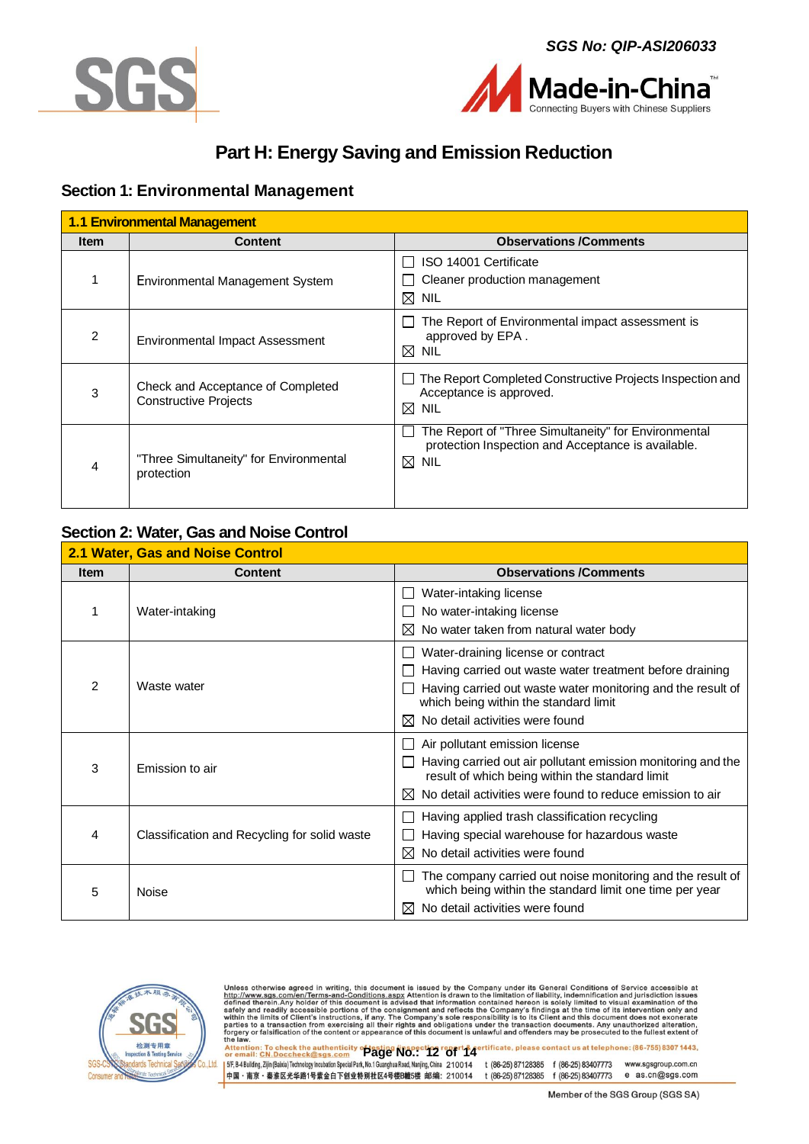



# **Part H: Energy Saving and Emission Reduction**

### <span id="page-11-1"></span><span id="page-11-0"></span>**Section 1: Environmental Management**

| <b>1.1 Environmental Management</b> |                                                                   |                                                                                                                               |  |  |
|-------------------------------------|-------------------------------------------------------------------|-------------------------------------------------------------------------------------------------------------------------------|--|--|
| <b>Item</b>                         | <b>Content</b>                                                    | <b>Observations /Comments</b>                                                                                                 |  |  |
|                                     | Environmental Management System                                   | ISO 14001 Certificate<br>Cleaner production management<br>$\boxtimes$ Nil                                                     |  |  |
| 2                                   | <b>Environmental Impact Assessment</b>                            | The Report of Environmental impact assessment is<br>approved by EPA.<br>$\boxtimes$ Nil                                       |  |  |
| 3                                   | Check and Acceptance of Completed<br><b>Constructive Projects</b> | The Report Completed Constructive Projects Inspection and<br>Acceptance is approved.<br>$\boxtimes$ Nil                       |  |  |
|                                     | "Three Simultaneity" for Environmental<br>protection              | The Report of "Three Simultaneity" for Environmental<br>protection Inspection and Acceptance is available.<br>$\boxtimes$ Nil |  |  |

### <span id="page-11-2"></span>**Section 2: Water, Gas and Noise Control**

| 2.1 Water, Gas and Noise Control |                                              |                                                                                                                                                                                                                                                |  |  |
|----------------------------------|----------------------------------------------|------------------------------------------------------------------------------------------------------------------------------------------------------------------------------------------------------------------------------------------------|--|--|
| <b>Item</b>                      | <b>Content</b>                               | <b>Observations /Comments</b>                                                                                                                                                                                                                  |  |  |
|                                  | Water-intaking                               | Water-intaking license<br>No water-intaking license<br>No water taken from natural water body<br>⊠                                                                                                                                             |  |  |
| 2                                | Waste water                                  | Water-draining license or contract<br>Having carried out waste water treatment before draining<br>Having carried out waste water monitoring and the result of<br>which being within the standard limit<br>No detail activities were found<br>ᢂ |  |  |
| 3                                | Emission to air                              | Air pollutant emission license<br>Having carried out air pollutant emission monitoring and the<br>result of which being within the standard limit<br>No detail activities were found to reduce emission to air<br>M                            |  |  |
| 4                                | Classification and Recycling for solid waste | Having applied trash classification recycling<br>Having special warehouse for hazardous waste<br>No detail activities were found<br>M                                                                                                          |  |  |
| 5                                | Noise                                        | The company carried out noise monitoring and the result of<br>which being within the standard limit one time per year<br>No detail activities were found                                                                                       |  |  |



Unless otherwise agreed in writing, this document is issued by the Company under its General Conditions of Service accessible at http://www.sgs.com/en/Terms-and-Conditions.aspx Attention is drawn to the limitation of liabi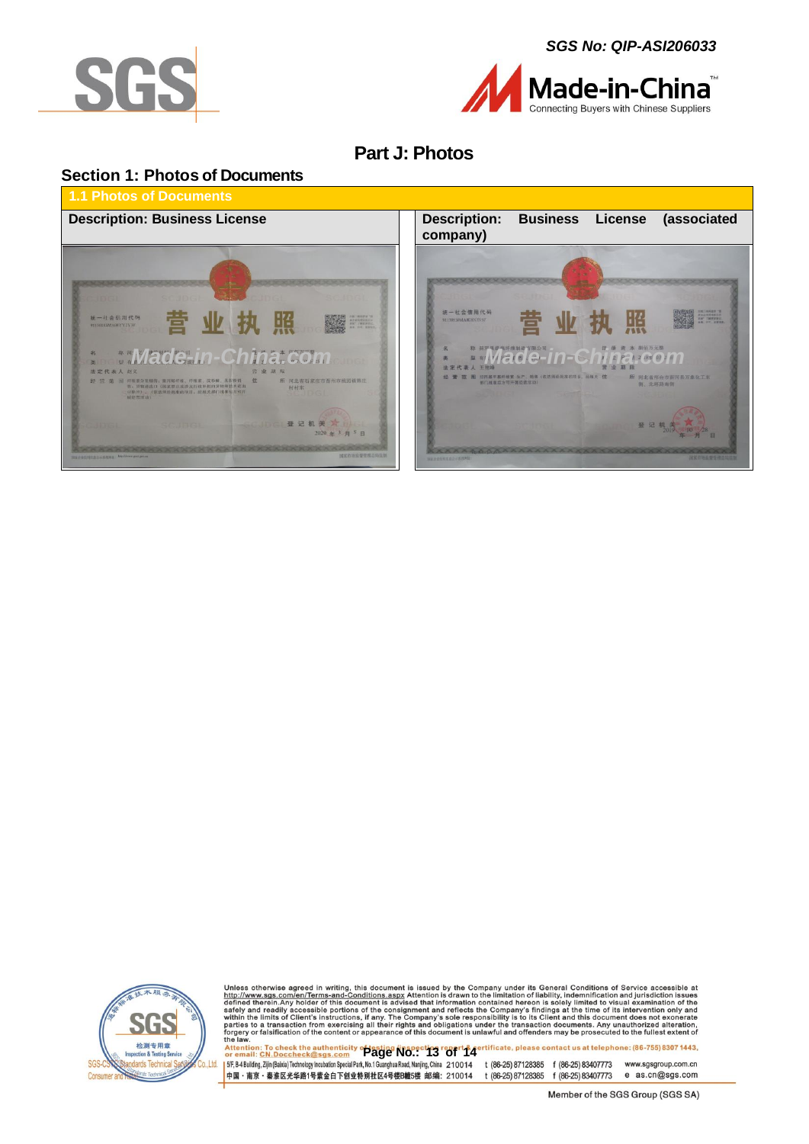





# **Part J: Photos**

### <span id="page-12-1"></span><span id="page-12-0"></span>**Section 1: Photos of Documents**







Unless otherwise agreed in writing, this document is issued by the Company under its General Conditions of Service accessible at http://www.sgs.com/en/Terms-and-Conditions.aspx Attention is drawn to the limitation of liabi